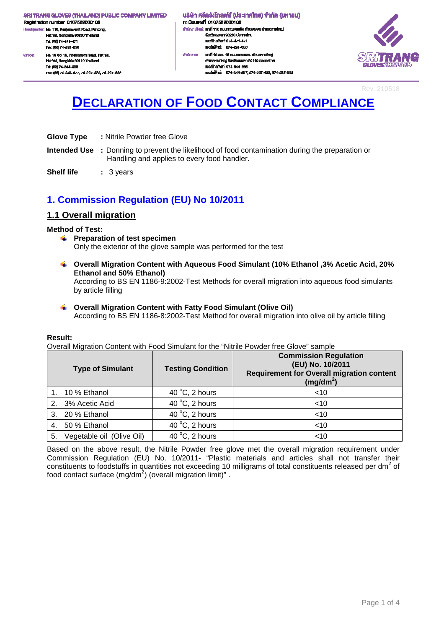Registration number 0107562000106 .<br>dquarter: No. 110, Kanjanavanit Road, Pahtong, Ŕ. Hat Yai, Songkhla 90230 Thailand Tel: (66) 74-471-471 Fex: (66) 74-291-650 No. 10 Soi 10, Phetkasern Road, Hat Yal, Office: Hat Yai, Songkhla 90110 Thaila Tel: (66) 74-344-663

Fec: (66) 74-344-677, 74-237-423, 74-237-832

้นธิษัท ศรีตรังโทลฟส์ (ประเทศไทย) จำกัด (มหาชน) n:iūsuiavn 0107562000106 สำนักงานใหญ่: เสงที่ 110 ถนนกาญจนอนิช ด้านสพะดง อำเภอคาดใหญ่ งังหวัดสงพลา 90230 ประเทศไทย lueślns/Mrf: 074-471-471 เนอร์เฟิกล่ะ 074-201-650 ahūninu: เองที่ 10 ขอย 10 ถนนเพชรเกษม คำบลหาคใหญ่ อำเภอหาคใหญ่ จังหวัดสงขลา 90110 ประเทศไทย IUDS InsAwri: 074-344-003 และเพื่อน่ะ 074-344-667 074-237-423 074-237-832



Rev: 210518

# **DECLARATION OF FOOD CONTACT COMPLIANCE**

- **Glove Type :** Nitrile Powder free Glove
- **Intended Use :** Donning to prevent the likelihood of food contamination during the preparation or Handling and applies to every food handler.
- **Shelf life : 3 years**

# **1. Commission Regulation (EU) No 10/2011**

## **1.1 Overall migration**

#### **Method of Test:**

- **F** Preparation of test specimen Only the exterior of the glove sample was performed for the test
- **Overall Migration Content with Aqueous Food Simulant (10% Ethanol ,3% Acetic Acid, 20% Ethanol and 50% Ethanol)**

According to BS EN 1186-9:2002-Test Methods for overall migration into aqueous food simulants by article filling

# **Overall Migration Content with Fatty Food Simulant (Olive Oil)**

According to BS EN 1186-8:2002-Test Method for overall migration into olive oil by article filling

#### **Result:**

Overall Migration Content with Food Simulant for the "Nitrile Powder free Glove" sample

|    | <b>Type of Simulant</b>   | <b>Testing Condition</b> | <b>Commission Regulation</b><br>(EU) No. 10/2011<br><b>Requirement for Overall migration content</b><br>$(mg/dm^2)$ |
|----|---------------------------|--------------------------|---------------------------------------------------------------------------------------------------------------------|
|    | 10 % Ethanol              | 40 $\degree$ C, 2 hours  | $<$ 10                                                                                                              |
|    | 2. 3% Acetic Acid         | 40 $\degree$ C, 2 hours  | $<$ 10                                                                                                              |
|    | 3. 20 % Ethanol           | 40 $\degree$ C, 2 hours  | $<$ 10                                                                                                              |
| 4. | 50 % Ethanol              | 40 $\degree$ C, 2 hours  | $<$ 10                                                                                                              |
| 5. | Vegetable oil (Olive Oil) | 40 $\degree$ C, 2 hours  | $<$ 10                                                                                                              |

Based on the above result, the Nitrile Powder free glove met the overall migration requirement under Commission Regulation (EU) No. 10/2011- "Plastic materials and articles shall not transfer their constituents to foodstuffs in quantities not exceeding 10 milligrams of total constituents released per dm<sup>2</sup> of food contact surface (mg/dm<sup>2</sup>) (overall migration limit)" .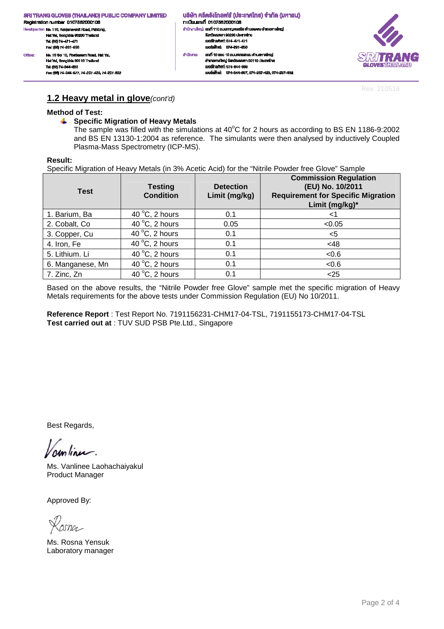้นธิษัท ศรีตรังโทลฟส์ (ประเทศไทย) จำกัด (มหาชน) n: เมียนเลงที่ 0107562000106 สำนักงานใหญ่: เสงที่ 110 ถนนกาญจนอนิช ด้านสพะดง อำเภอคาดใหญ่ งังหวัดสงพลา 90230 ประเทศไทย<br>เบอร์โทรศัพท์: 074-471-471 เนอร์เฟ็กล่ะ 074-291-650 เลฟที่ 10 ซอย 10 ถนนเพชรเกษม ดำนลหาดใหญ่ ahūninu: อำเภอหาคใหญ่ จังหวัดสมุขยา 90110 ประเทศไทย IUDS TrishWrf: 074-344-003 เบอร์แพ็กซ์: 074-344-667, 074-237-423, 074-237-632



Rev: 210518

## **1.2 Heavy metal in glove**(cont'd)

#### **Method of Test:**

Hat Yai, Songkhia 90110 Thailar

Fec: (66) 74-344-677, 74-237-423, 74-237-832

Tel: (66) 74-344-663

#### **Specific Migration of Heavy Metals**

The sample was filled with the simulations at  $40^{\circ}$ C for 2 hours as according to BS EN 1186-9:2002 and BS EN 13130-1:2004 as reference. The simulants were then analysed by inductively Coupled Plasma-Mass Spectrometry (ICP-MS).

#### **Result:**

Office:

Specific Migration of Heavy Metals (in 3% Acetic Acid) for the "Nitrile Powder free Glove" Sample

| <b>Test</b>      | <b>Testing</b><br><b>Condition</b> | <b>Detection</b><br>Limit (mg/kg) | <b>Commission Regulation</b><br>(EU) No. 10/2011<br><b>Requirement for Specific Migration</b><br>Limit (mg/kg)* |
|------------------|------------------------------------|-----------------------------------|-----------------------------------------------------------------------------------------------------------------|
| 1. Barium, Ba    | 40 $\mathrm{^{\circ}C}$ , 2 hours  | 0.1                               | <1                                                                                                              |
| 2. Cobalt, Co    | 40 $\degree$ C, 2 hours            | 0.05                              | < 0.05                                                                                                          |
| 3. Copper, Cu    | 40 $\degree$ C, 2 hours            | 0.1                               | <5                                                                                                              |
| 4. Iron, Fe      | 40 $\degree$ C, 2 hours            | 0.1                               | <48                                                                                                             |
| 5. Lithium. Li   | 40 $\degree$ C, 2 hours            | 0.1                               | 0.6                                                                                                             |
| 6. Manganese, Mn | 40 $\degree$ C, 2 hours            | 0.1                               | < 0.6                                                                                                           |
| 7. Zinc, Zn      | 40 $\degree$ C, 2 hours            | 0.1                               | $25$                                                                                                            |

Based on the above results, the "Nitrile Powder free Glove" sample met the specific migration of Heavy Metals requirements for the above tests under Commission Regulation (EU) No 10/2011.

**Reference Report** : Test Report No. 7191156231-CHM17-04-TSL, 7191155173-CHM17-04-TSL **Test carried out at** : TUV SUD PSB Pte.Ltd., Singapore

Best Regards,

continu.

Ms. Vanlinee Laohachaiyakul Product Manager

Approved By:

asna

Ms. Rosna Yensuk Laboratory manager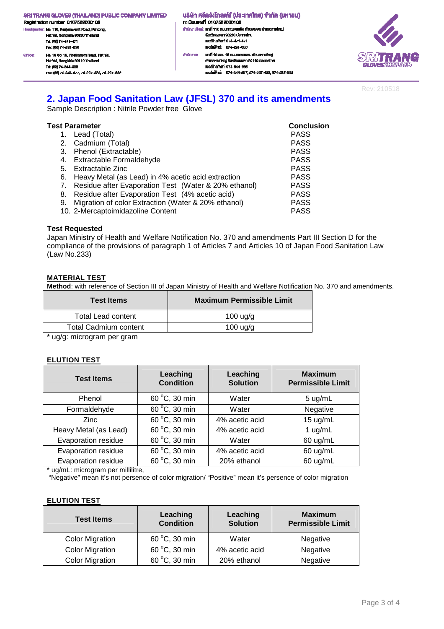- .<br>ciquarter: No. 110, Kanjanavanit Road, Pahtong, .<br>He Hat Yai, Songkhla 90230 Thailand Tel: (66) 74-471-471 Fex: (66) 74-291-650 No. 10 Soi 10, Phetkasem Road, Hat Yal, Office: Hat Yai, Songkhia 90110 Thailand Tel: (66) 74-344-663 Fec: (66) 74-344-677, 74-237-423, 74-237-832
- ้ บริษัท ศรีตรังโทลฟส์ (ประเทศไทย) จำกัด (มหาชน) n: เมียนเลงที่ 0107562000106 สำนักงานใหญ่: เสงที่ 110 ถนนกาญจนอนิช ด้านสพะดง อำเภอคาดใหญ่ งังหวัดสงหลา 90230 ประเทศไทย<br>เบอร์โทรศัพท์: 074-471-471 เมอร์เพ็กล่ะ 074-201-650 เลฟที่ 10 ซอย 10 ถนนเพชรเกษม ดำนลหาดใหญ่ ahūninu: อำเภอหาคใหญ่ จังหวัดสงขลา 90110 ประเทศไทย IUDS TrishWrf: 074-344-003 เนอร์เพ็กซ์: 074-344-667, 074-237-423, 074-237-632



Rev: 210518

# **2. Japan Food Sanitation Law (JFSL) 370 and its amendments**

Sample Description : Nitrile Powder free Glove

| Test Parameter | <b>Conclusion</b>                                       |             |
|----------------|---------------------------------------------------------|-------------|
|                | 1. Lead (Total)                                         | <b>PASS</b> |
|                | 2. Cadmium (Total)                                      | <b>PASS</b> |
|                | 3. Phenol (Extractable)                                 | <b>PASS</b> |
|                | 4. Extractable Formaldehyde                             | <b>PASS</b> |
| 5.             | Extractable Zinc                                        | <b>PASS</b> |
|                | 6. Heavy Metal (as Lead) in 4% acetic acid extraction   | <b>PASS</b> |
|                | 7. Residue after Evaporation Test (Water & 20% ethanol) | <b>PASS</b> |
| 8.             | Residue after Evaporation Test (4% acetic acid)         | <b>PASS</b> |
|                | 9. Migration of color Extraction (Water & 20% ethanol)  | <b>PASS</b> |
|                | 10. 2-Mercaptoimidazoline Content                       | <b>PASS</b> |

#### **Test Requested**

Japan Ministry of Health and Welfare Notification No. 370 and amendments Part III Section D for the compliance of the provisions of paragraph 1 of Articles 7 and Articles 10 of Japan Food Sanitation Law (Law No.233)

#### **MATERIAL TEST**

**Method**: with reference of Section III of Japan Ministry of Health and Welfare Notification No. 370 and amendments.

| <b>Test Items</b>         | <b>Maximum Permissible Limit</b> |
|---------------------------|----------------------------------|
| <b>Total Lead content</b> | $100 \text{ u}g/g$               |
| Total Cadmium content     | $100 \text{ u}g/g$               |
|                           |                                  |

\* ug/g: microgram per gram

#### **ELUTION TEST**

| <b>Test Items</b>     | Leaching<br><b>Condition</b> | Leaching<br><b>Solution</b> | <b>Maximum</b><br><b>Permissible Limit</b> |
|-----------------------|------------------------------|-----------------------------|--------------------------------------------|
| Phenol                | 60 °C, 30 min                | Water                       | $5 \text{ ug/mL}$                          |
| Formaldehyde          | 60 °C, 30 min                | Water                       | Negative                                   |
| <b>Zinc</b>           | 60 °C, 30 min                | 4% acetic acid              | 15 ug/mL                                   |
| Heavy Metal (as Lead) | 60 °C, 30 min                | 4% acetic acid              | 1 $ug/mL$                                  |
| Evaporation residue   | 60 °C, 30 min                | Water                       | 60 ug/mL                                   |
| Evaporation residue   | 60 °C, 30 min                | 4% acetic acid              | 60 ug/mL                                   |
| Evaporation residue   | 60 °C, 30 min                | 20% ethanol                 | 60 ug/mL                                   |

\* ug/mL: microgram per millilitre,

"Negative" mean it's not persence of color migration/ "Positive" mean it's persence of color migration

#### **ELUTION TEST**

| <b>Test Items</b>      | Leaching<br><b>Condition</b> | Leaching<br><b>Solution</b> | <b>Maximum</b><br><b>Permissible Limit</b> |
|------------------------|------------------------------|-----------------------------|--------------------------------------------|
| <b>Color Migration</b> | 60 °C, 30 min                | Water                       | Negative                                   |
| <b>Color Migration</b> | 60 °C, 30 min                | 4% acetic acid              | Negative                                   |
| <b>Color Migration</b> | 60 °C, 30 min                | 20% ethanol                 | Negative                                   |